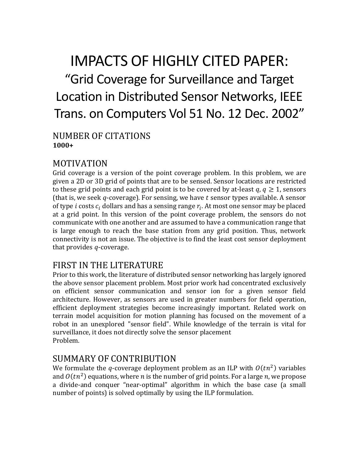# IMPACTS OF HIGHLY CITED PAPER: "Grid Coverage for Surveillance and Target Location in Distributed Sensor Networks, IEEE Trans. on Computers Vol 51 No. 12 Dec. 2002"

#### NUMBER OF CITATIONS **1000+**

# MOTIVATION

Grid coverage is a version of the point coverage problem. In this problem, we are given a 2D or 3D grid of points that are to be sensed. Sensor locations are restricted to these grid points and each grid point is to be covered by at-least  $q, q \ge 1$ , sensors (that is, we seek  $q$ -coverage). For sensing, we have  $t$  sensor types available. A sensor of type *i* costs  $c_i$  dollars and has a sensing range  $r_i$ . At most one sensor may be placed at a grid point. In this version of the point coverage problem, the sensors do not communicate with one another and are assumed to have a communication range that is large enough to reach the base station from any grid position. Thus, network connectivity is not an issue. The objective is to find the least cost sensor deployment that provides  $q$ -coverage.

#### FIRST IN THE LITERATURE

Prior to this work, the literature of distributed sensor networking has largely ignored the above sensor placement problem. Most prior work had concentrated exclusively on efficient sensor communication and sensor ion for a given sensor field architecture. However, as sensors are used in greater numbers for field operation, efficient deployment strategies become increasingly important. Related work on terrain model acquisition for motion planning has focused on the movement of a robot in an unexplored "sensor field". While knowledge of the terrain is vital for surveillance, it does not directly solve the sensor placement Problem.

#### SUMMARY OF CONTRIBUTION

We formulate the q-coverage deployment problem as an ILP with  $O(tn^2)$  variables and  $O(tn^2)$  equations, where *n* is the number of grid points. For a large *n*, we propose a divide-and conquer "near-optimal" algorithm in which the base case (a small number of points) is solved optimally by using the ILP formulation.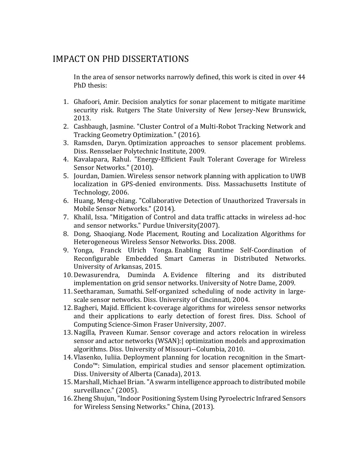### IMPACT ON PHD DISSERTATIONS

In the area of sensor networks narrowly defined, this work is cited in over 44 PhD thesis:

- 1. Ghafoori, Amir. Decision analytics for sonar placement to mitigate maritime security risk. Rutgers The State University of New Jersey-New Brunswick, 2013.
- 2. Cashbaugh, Jasmine. "Cluster Control of a Multi-Robot Tracking Network and Tracking Geometry Optimization." (2016).
- 3. Ramsden, Daryn. Optimization approaches to sensor placement problems. Diss. Rensselaer Polytechnic Institute, 2009.
- 4. Kavalapara, Rahul. "Energy-Efficient Fault Tolerant Coverage for Wireless Sensor Networks." (2010).
- 5. Jourdan, Damien. Wireless sensor network planning with application to UWB localization in GPS-denied environments. Diss. Massachusetts Institute of Technology, 2006.
- 6. Huang, Meng-chiang. "Collaborative Detection of Unauthorized Traversals in Mobile Sensor Networks." (2014).
- 7. Khalil, Issa. "Mitigation of Control and data traffic attacks in wireless ad-hoc and sensor networks." Purdue University(2007).
- 8. Dong, Shaoqiang. Node Placement, Routing and Localization Algorithms for Heterogeneous Wireless Sensor Networks. Diss. 2008.
- 9. Yonga, Franck Ulrich Yonga. Enabling Runtime Self-Coordination of Reconfigurable Embedded Smart Cameras in Distributed Networks. University of Arkansas, 2015.
- 10. Dewasurendra, Duminda A. Evidence filtering and its distributed implementation on grid sensor networks. University of Notre Dame, 2009.
- 11.Seetharaman, Sumathi. Self-organized scheduling of node activity in largescale sensor networks. Diss. University of Cincinnati, 2004.
- 12. Bagheri, Majid. Efficient k-coverage algorithms for wireless sensor networks and their applications to early detection of forest fires. Diss. School of Computing Science-Simon Fraser University, 2007.
- 13.Nagilla, Praveen Kumar. Sensor coverage and actors relocation in wireless sensor and actor networks (WSAN):| optimization models and approximation algorithms. Diss. University of Missouri--Columbia, 2010.
- 14. Vlasenko, Iuliia. Deployment planning for location recognition in the Smart-Condo™: Simulation, empirical studies and sensor placement optimization. Diss. University of Alberta (Canada), 2013.
- 15. Marshall, Michael Brian. "A swarm intelligence approach to distributed mobile surveillance." (2005).
- 16. Zheng Shujun, "Indoor Positioning System Using Pyroelectric Infrared Sensors for Wireless Sensing Networks." China, (2013).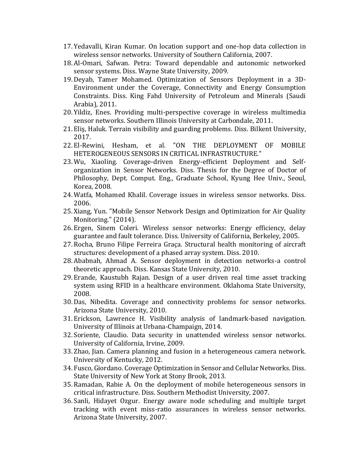- 17. Yedavalli, Kiran Kumar. On location support and one-hop data collection in wireless sensor networks. University of Southern California, 2007.
- 18. Al-Omari, Safwan. Petra: Toward dependable and autonomic networked sensor systems. Diss. Wayne State University, 2009.
- 19. Deyab, Tamer Mohamed. Optimization of Sensors Deployment in a 3D-Environment under the Coverage, Connectivity and Energy Consumption Constraints. Diss. King Fahd University of Petroleum and Minerals (Saudi Arabia), 2011.
- 20. Yildiz, Enes. Providing multi-perspective coverage in wireless multimedia sensor networks. Southern Illinois University at Carbondale, 2011.
- 21. Eliş, Haluk. Terrain visibility and guarding problems. Diss. Bilkent University, 2017.
- 22. El-Rewini, Hesham, et al. "ON THE DEPLOYMENT OF MOBILE HETEROGENEOUS SENSORS IN CRITICAL INFRASTRUCTURE."
- 23. Wu, Xiaoling. Coverage-driven Energy-efficient Deployment and Selforganization in Sensor Networks. Diss. Thesis for the Degree of Doctor of Philosophy, Dept. Comput. Eng., Graduate School, Kyung Hee Univ., Seoul, Korea, 2008.
- 24. Watfa, Mohamed Khalil. Coverage issues in wireless sensor networks. Diss. 2006.
- 25. Xiang, Yun. "Mobile Sensor Network Design and Optimization for Air Quality Monitoring." (2014).
- 26. Ergen, Sinem Coleri. Wireless sensor networks: Energy efficiency, delay guarantee and fault tolerance. Diss. University of California, Berkeley, 2005.
- 27. Rocha, Bruno Filipe Ferreira Graça. Structural health monitoring of aircraft structures: development of a phased array system. Diss. 2010.
- 28. Ababnah, Ahmad A. Sensor deployment in detection networks-a control theoretic approach. Diss. Kansas State University, 2010.
- 29. Erande, Kaustubh Rajan. Design of a user driven real time asset tracking system using RFID in a healthcare environment. Oklahoma State University, 2008.
- 30. Das, Nibedita. Coverage and connectivity problems for sensor networks. Arizona State University, 2010.
- 31. Erickson, Lawrence H. Visibility analysis of landmark-based navigation. University of Illinois at Urbana-Champaign, 2014.
- 32.Soriente, Claudio. Data security in unattended wireless sensor networks. University of California, Irvine, 2009.
- 33. Zhao, Jian. Camera planning and fusion in a heterogeneous camera network. University of Kentucky, 2012.
- 34. Fusco, Giordano. Coverage Optimization in Sensor and Cellular Networks. Diss. State University of New York at Stony Brook, 2013.
- 35. Ramadan, Rabie A. On the deployment of mobile heterogeneous sensors in critical infrastructure. Diss. Southern Methodist University, 2007.
- 36.Sanli, Hidayet Ozgur. Energy aware node scheduling and multiple target tracking with event miss-ratio assurances in wireless sensor networks. Arizona State University, 2007.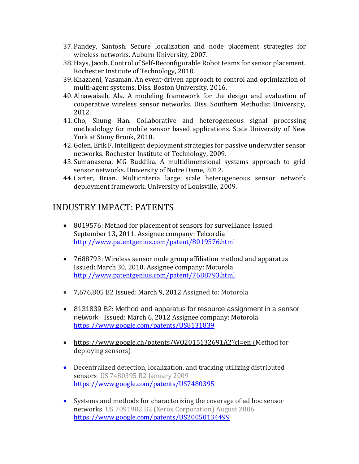- 37. Pandey, Santosh. Secure localization and node placement strategies for wireless networks. Auburn University, 2007.
- 38.Hays, Jacob. Control of Self-Reconfigurable Robot teams for sensor placement. Rochester Institute of Technology, 2010.
- 39. Khazaeni, Yasaman. An event-driven approach to control and optimization of multi-agent systems. Diss. Boston University, 2016.
- 40. Alnawaiseh, Ala. A modeling framework for the design and evaluation of cooperative wireless sensor networks. Diss. Southern Methodist University, 2012.
- 41. Cho, Shung Han. Collaborative and heterogeneous signal processing methodology for mobile sensor based applications. State University of New York at Stony Brook, 2010.
- 42. Golen, Erik F. Intelligent deployment strategies for passive underwater sensor networks. Rochester Institute of Technology, 2009.
- 43.Sumanasena, MG Buddika. A multidimensional systems approach to grid sensor networks. University of Notre Dame, 2012.
- 44. Carter, Brian. Multicriteria large scale heterogeneous sensor network deployment framework. University of Louisville, 2009.

# INDUSTRY IMPACT: PATENTS

- 8019576: Method for placement of sensors for surveillance Issued: September 13, 2011. Assignee company: Telcordia <http://www.patentgenius.com/patent/8019576.html>
- 7688793: Wireless sensor node group affiliation method and apparatus Issued: March 30, 2010. Assignee company: Motorola <http://www.patentgenius.com/patent/7688793.html>
- 7,676,805 B2 Issued: March 9, 2012 Assigned to: Motorola
- 8131839 B2: Method and apparatus for resource assignment in a sensor network Issued: March 6, 2012 Assignee company: Motorola <https://www.google.com/patents/US8131839>
- https://www.google.ch/patents/W02015132691A2?cl=en (Method for deploying sensors)
- Decentralized detection, localization, and tracking utilizing distributed sensors US 7480395 B2 January 2009 <https://www.google.com/patents/US7480395>
- Systems and methods for characterizing the coverage of ad hoc sensor networks US 7091902 B2 (Xerox Corporation) August 2006 <https://www.google.com/patents/US20050134499>